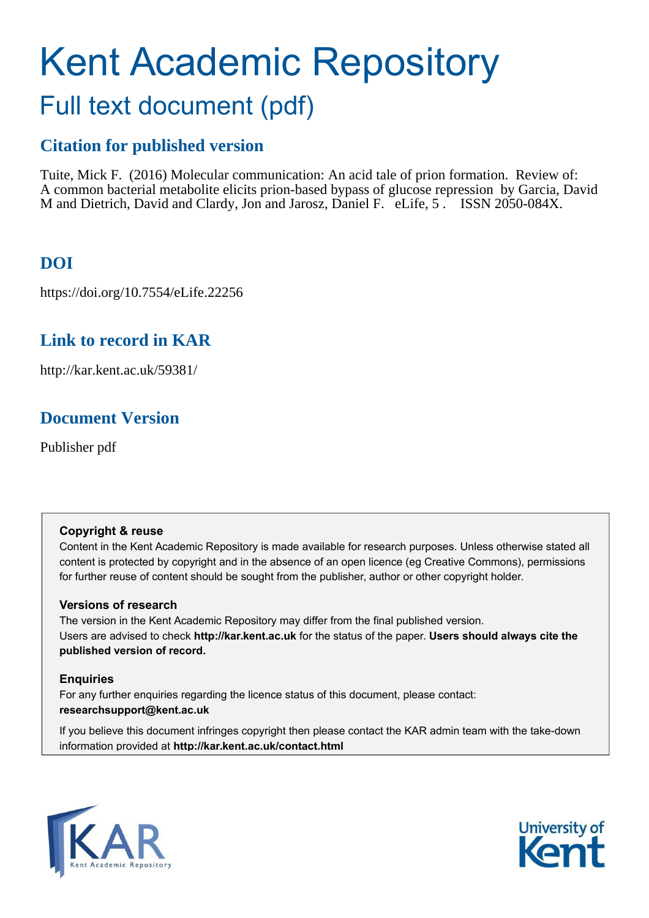# Kent Academic Repository Full text document (pdf)

### **Citation for published version**

Tuite, Mick F. (2016) Molecular communication: An acid tale of prion formation. Review of: A common bacterial metabolite elicits prion-based bypass of glucose repression by Garcia, David M and Dietrich, David and Clardy, Jon and Jarosz, Daniel F. eLife, 5. ISSN 2050-084X.

## **DOI**

https://doi.org/10.7554/eLife.22256

## **Link to record in KAR**

http://kar.kent.ac.uk/59381/

## **Document Version**

Publisher pdf

#### **Copyright & reuse**

Content in the Kent Academic Repository is made available for research purposes. Unless otherwise stated all content is protected by copyright and in the absence of an open licence (eg Creative Commons), permissions for further reuse of content should be sought from the publisher, author or other copyright holder.

#### **Versions of research**

The version in the Kent Academic Repository may differ from the final published version. Users are advised to check **http://kar.kent.ac.uk** for the status of the paper. **Users should always cite the published version of record.**

#### **Enquiries**

For any further enquiries regarding the licence status of this document, please contact: **researchsupport@kent.ac.uk**

If you believe this document infringes copyright then please contact the KAR admin team with the take-down information provided at **http://kar.kent.ac.uk/contact.html**



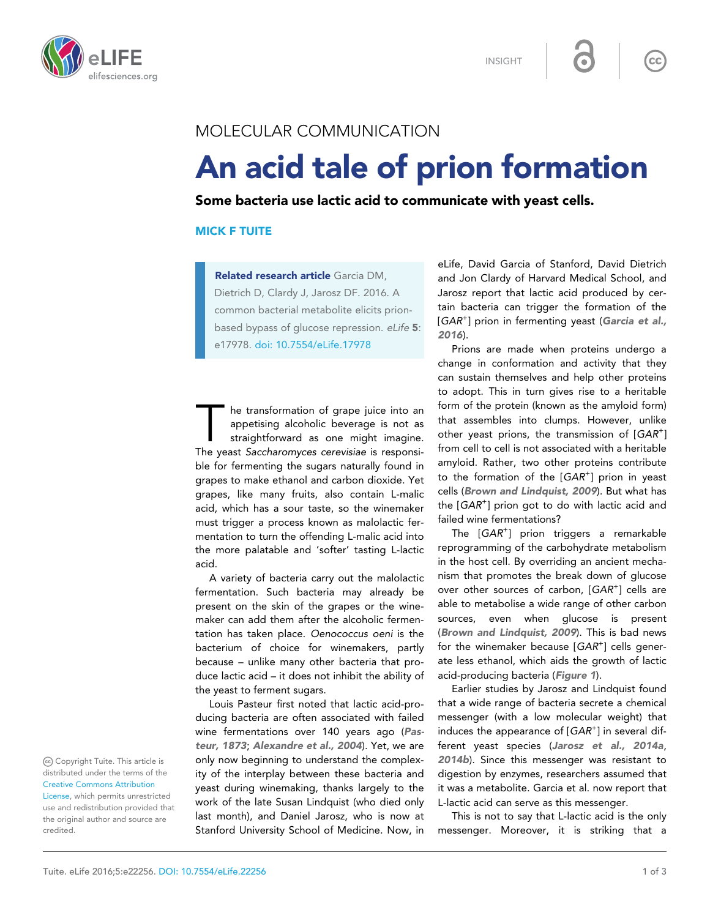

INSIGHT

#### MOLECULAR COMMUNICATION

## An acid tale of prion formation

Some bacteria use lactic acid to communicate with yeast cells.

#### MICK F TUITE

Related research article Garcia DM, Dietrich D, Clardy J, Jarosz DF. 2016. A common bacterial metabolite elicits prionbased bypass of glucose repression. eLife 5: e17978. [doi: 10.7554/eLife.17978](http://dx.doi.org/10.7554/eLife.17978)

The transformation of grape juice into an appetising alcoholic beverage is not as straightforward as one might imagine.<br>The yeast Saccharomyces cerevisiae is responsihe transformation of grape juice into an appetising alcoholic beverage is not as straightforward as one might imagine. ble for fermenting the sugars naturally found in grapes to make ethanol and carbon dioxide. Yet grapes, like many fruits, also contain L-malic acid, which has a sour taste, so the winemaker must trigger a process known as malolactic fermentation to turn the offending L-malic acid into the more palatable and 'softer' tasting L-lactic acid.

A variety of bacteria carry out the malolactic fermentation. Such bacteria may already be present on the skin of the grapes or the winemaker can add them after the alcoholic fermentation has taken place. Oenococcus oeni is the bacterium of choice for winemakers, partly because – unlike many other bacteria that produce lactic acid – it does not inhibit the ability of the yeast to ferment sugars.

Louis Pasteur first noted that lactic acid-producing bacteria are often associated with failed wine fermentations over 140 years ago ([Pas](#page-2-0)[teur, 1873](#page-2-0); Alexandre et al., 2004). Yet, we are only now beginning to understand the complexity of the interplay between these bacteria and yeast during winemaking, thanks largely to the work of the late Susan Lindquist (who died only last month), and Daniel Jarosz, who is now at Stanford University School of Medicine. Now, in eLife, David Garcia of Stanford, David Dietrich and Jon Clardy of Harvard Medical School, and Jarosz report that lactic acid produced by certain bacteria can trigger the formation of the [GAR<sup>+</sup>] prion in fermenting yeast ([Garcia et al.,](#page-2-0) [2016](#page-2-0)).

 $cc$ 

Prions are made when proteins undergo a change in conformation and activity that they can sustain themselves and help other proteins to adopt. This in turn gives rise to a heritable form of the protein (known as the amyloid form) that assembles into clumps. However, unlike other yeast prions, the transmission of  $[GAR^+]$ from cell to cell is not associated with a heritable amyloid. Rather, two other proteins contribute to the formation of the [GAR<sup>+</sup>] prion in yeast cells (Brown and Lindquist, 2009). But what has the  $[GAR^+]$  prion got to do with lactic acid and failed wine fermentations?

The [GAR<sup>+</sup>] prion triggers a remarkable reprogramming of the carbohydrate metabolism in the host cell. By overriding an ancient mechanism that promotes the break down of glucose over other sources of carbon, [GAR<sup>+</sup>] cells are able to metabolise a wide range of other carbon sources, even when glucose is present (Brown and Lindquist, 2009). This is bad news for the winemaker because [GAR<sup>+</sup>] cells generate less ethanol, which aids the growth of lactic acid-producing bacteria (Figure 1).

Earlier studies by Jarosz and Lindquist found that a wide range of bacteria secrete a chemical messenger (with a low molecular weight) that induces the appearance of  $[GAR<sup>+</sup>]$  in several different yeast species ([Jarosz et al., 2014a](#page-2-0), [2014b](#page-2-0)). Since this messenger was resistant to digestion by enzymes, researchers assumed that it was a metabolite. Garcia et al. now report that L-lactic acid can serve as this messenger.

This is not to say that L-lactic acid is the only messenger. Moreover, it is striking that a

Copyright Tuite. This article is distributed under the terms of the [Creative Commons Attribution](http://creativecommons.org/licenses/by/4.0/)

[License](http://creativecommons.org/licenses/by/4.0/), which permits unrestricted use and redistribution provided that the original author and source are credited.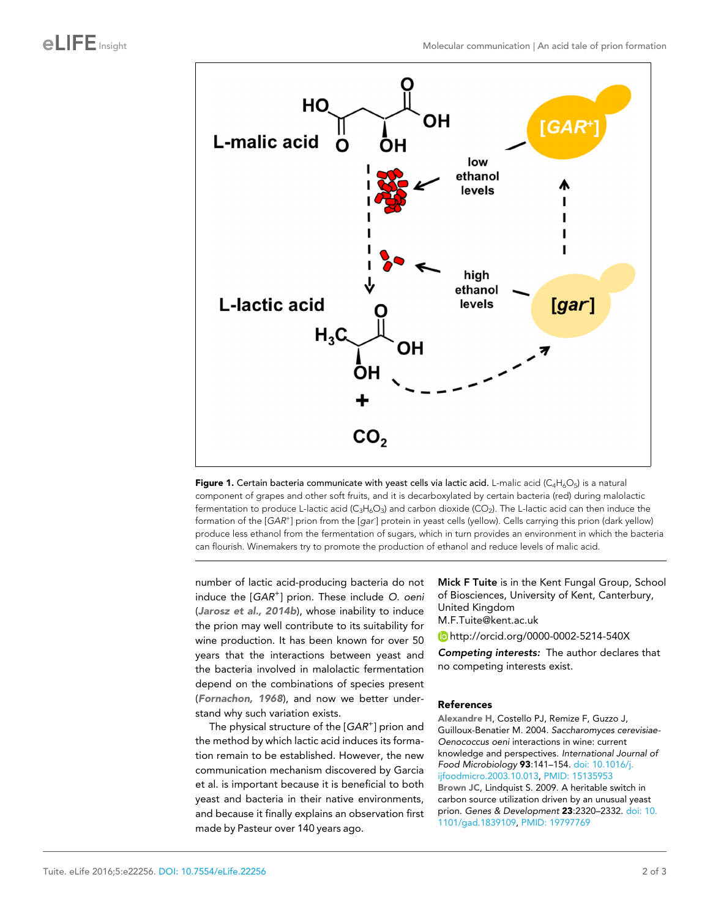<span id="page-2-0"></span>

Figure 1. Certain bacteria communicate with yeast cells via lactic acid. L-malic acid ( $C_4H_6O_5$ ) is a natural component of grapes and other soft fruits, and it is decarboxylated by certain bacteria (red) during malolactic fermentation to produce L-lactic acid ( $C_3H_6O_3$ ) and carbon dioxide (CO<sub>2</sub>). The L-lactic acid can then induce the formation of the [GAR<sup>+</sup>] prion from the [gar<sup>-</sup>] protein in yeast cells (yellow). Cells carrying this prion (dark yellow) produce less ethanol from the fermentation of sugars, which in turn provides an environment in which the bacteria can flourish. Winemakers try to promote the production of ethanol and reduce levels of malic acid.

number of lactic acid-producing bacteria do not induce the [GAR<sup>+</sup>] prion. These include O. oeni (Jarosz et al., 2014b), whose inability to induce the prion may well contribute to its suitability for wine production. It has been known for over 50 years that the interactions between yeast and the bacteria involved in malolactic fermentation depend on the combinations of species present (Fornachon, 1968), and now we better understand why such variation exists.

The physical structure of the  $[GAR^+]$  prion and the method by which lactic acid induces its formation remain to be established. However, the new communication mechanism discovered by Garcia et al. is important because it is beneficial to both yeast and bacteria in their native environments, and because it finally explains an observation first made by Pasteur over 140 years ago.

Mick F Tuite is in the Kent Fungal Group, School of Biosciences, University of Kent, Canterbury, United Kingdom

M.F.Tuite@kent.ac.uk

<http://orcid.org/0000-0002-5214-540X>

Competing interests: The author declares that no competing interests exist.

#### References

Alexandre H, Costello PJ, Remize F, Guzzo J, Guilloux-Benatier M. 2004. Saccharomyces cerevisiae-Oenococcus oeni interactions in wine: current knowledge and perspectives. International Journal of Food Microbiology 93:141–154. [doi: 10.1016/j.](http://dx.doi.org/10.1016/j.ijfoodmicro.2003.10.013) [ijfoodmicro.2003.10.013,](http://dx.doi.org/10.1016/j.ijfoodmicro.2003.10.013) PMID: [15135953](http://www.ncbi.nlm.nih.gov/pubmed/15135953) Brown JC, Lindquist S. 2009. A heritable switch in carbon source utilization driven by an unusual yeast prion. Genes & Development 23:2320–2332. [doi: 10.](http://dx.doi.org/10.1101/gad.1839109) [1101/gad.1839109](http://dx.doi.org/10.1101/gad.1839109), PMID: [19797769](http://www.ncbi.nlm.nih.gov/pubmed/19797769)